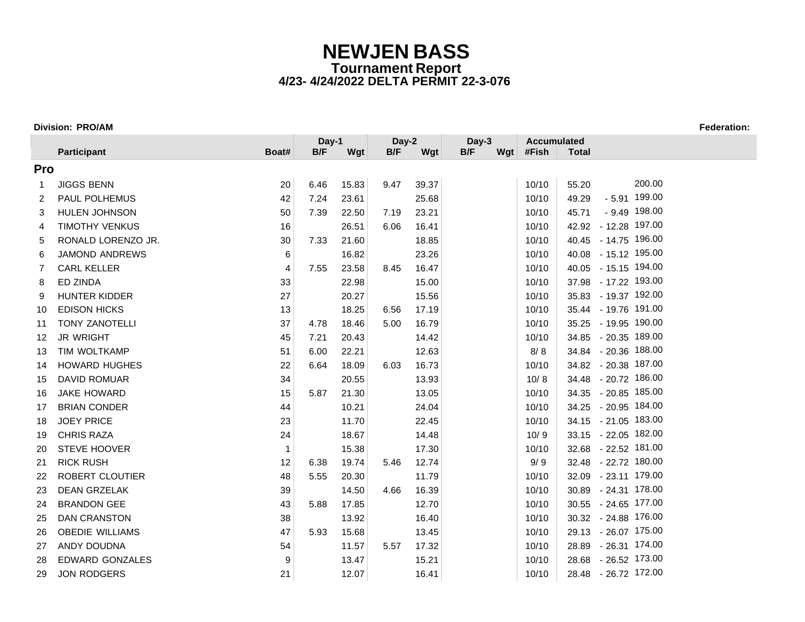### **Division: PRO/AM Federation:**

|             |                        |                | Day-1 |       | Day-2 |       | Day-3 |     | <b>Accumulated</b> |              |                      |
|-------------|------------------------|----------------|-------|-------|-------|-------|-------|-----|--------------------|--------------|----------------------|
|             | Participant            | Boat#          | B/F   | Wgt   | B/F   | Wgt   | B/F   | Wgt | #Fish              | <b>Total</b> |                      |
| Pro         |                        |                |       |       |       |       |       |     |                    |              |                      |
| $\mathbf 1$ | <b>JIGGS BENN</b>      | 20             | 6.46  | 15.83 | 9.47  | 39.37 |       |     | 10/10              | 55.20        | 200.00               |
| 2           | <b>PAUL POLHEMUS</b>   | 42             | 7.24  | 23.61 |       | 25.68 |       |     | 10/10              | 49.29        | $-5.91$ 199.00       |
| 3           | <b>HULEN JOHNSON</b>   | 50             | 7.39  | 22.50 | 7.19  | 23.21 |       |     | 10/10              | 45.71        | $-9.49$ 198.00       |
| 4           | <b>TIMOTHY VENKUS</b>  | 16             |       | 26.51 | 6.06  | 16.41 |       |     | 10/10              |              | 42.92 - 12.28 197.00 |
| 5           | RONALD LORENZO JR.     | 30             | 7.33  | 21.60 |       | 18.85 |       |     | 10/10              |              | 40.45 - 14.75 196.00 |
| 6           | <b>JAMOND ANDREWS</b>  | 6              |       | 16.82 |       | 23.26 |       |     | 10/10              |              | 40.08 - 15.12 195.00 |
| 7           | <b>CARL KELLER</b>     | $\overline{4}$ | 7.55  | 23.58 | 8.45  | 16.47 |       |     | 10/10              |              | 40.05 - 15.15 194.00 |
| 8           | ED ZINDA               | 33             |       | 22.98 |       | 15.00 |       |     | 10/10              |              | 37.98 - 17.22 193.00 |
| 9           | HUNTER KIDDER          | 27             |       | 20.27 |       | 15.56 |       |     | 10/10              |              | 35.83 - 19.37 192.00 |
| 10          | <b>EDISON HICKS</b>    | 13             |       | 18.25 | 6.56  | 17.19 |       |     | 10/10              |              | 35.44 - 19.76 191.00 |
| 11          | <b>TONY ZANOTELLI</b>  | 37             | 4.78  | 18.46 | 5.00  | 16.79 |       |     | 10/10              |              | 35.25 - 19.95 190.00 |
| 12          | <b>JR WRIGHT</b>       | 45             | 7.21  | 20.43 |       | 14.42 |       |     | 10/10              |              | 34.85 - 20.35 189.00 |
| 13          | TIM WOLTKAMP           | 51             | 6.00  | 22.21 |       | 12.63 |       |     | 8/8                |              | 34.84 - 20.36 188.00 |
| 14          | <b>HOWARD HUGHES</b>   | 22             | 6.64  | 18.09 | 6.03  | 16.73 |       |     | 10/10              |              | 34.82 - 20.38 187.00 |
| 15          | <b>DAVID ROMUAR</b>    | 34             |       | 20.55 |       | 13.93 |       |     | 10/8               |              | 34.48 - 20.72 186.00 |
| 16          | <b>JAKE HOWARD</b>     | 15             | 5.87  | 21.30 |       | 13.05 |       |     | 10/10              |              | 34.35 - 20.85 185.00 |
| 17          | <b>BRIAN CONDER</b>    | 44             |       | 10.21 |       | 24.04 |       |     | 10/10              |              | 34.25 - 20.95 184.00 |
| 18          | <b>JOEY PRICE</b>      | 23             |       | 11.70 |       | 22.45 |       |     | 10/10              |              | 34.15 - 21.05 183.00 |
| 19          | <b>CHRIS RAZA</b>      | 24             |       | 18.67 |       | 14.48 |       |     | 10/9               |              | 33.15 - 22.05 182.00 |
| 20          | <b>STEVE HOOVER</b>    | $\mathbf{1}$   |       | 15.38 |       | 17.30 |       |     | 10/10              |              | 32.68 - 22.52 181.00 |
| 21          | <b>RICK RUSH</b>       | 12             | 6.38  | 19.74 | 5.46  | 12.74 |       |     | 9/9                |              | 32.48 - 22.72 180.00 |
| 22          | ROBERT CLOUTIER        | 48             | 5.55  | 20.30 |       | 11.79 |       |     | 10/10              |              | 32.09 - 23.11 179.00 |
| 23          | <b>DEAN GRZELAK</b>    | 39             |       | 14.50 | 4.66  | 16.39 |       |     | 10/10              |              | 30.89 - 24.31 178.00 |
| 24          | <b>BRANDON GEE</b>     | 43             | 5.88  | 17.85 |       | 12.70 |       |     | 10/10              |              | 30.55 - 24.65 177.00 |
| 25          | <b>DAN CRANSTON</b>    | 38             |       | 13.92 |       | 16.40 |       |     | 10/10              |              | 30.32 - 24.88 176.00 |
| 26          | <b>OBEDIE WILLIAMS</b> | 47             | 5.93  | 15.68 |       | 13.45 |       |     | 10/10              |              | 29.13 - 26.07 175.00 |
| 27          | ANDY DOUDNA            | 54             |       | 11.57 | 5.57  | 17.32 |       |     | 10/10              |              | 28.89 - 26.31 174.00 |
| 28          | <b>EDWARD GONZALES</b> | 9              |       | 13.47 |       | 15.21 |       |     | 10/10              |              | 28.68 - 26.52 173.00 |
| 29          | <b>JON RODGERS</b>     | 21             |       | 12.07 |       | 16.41 |       |     | 10/10              |              | 28.48 - 26.72 172.00 |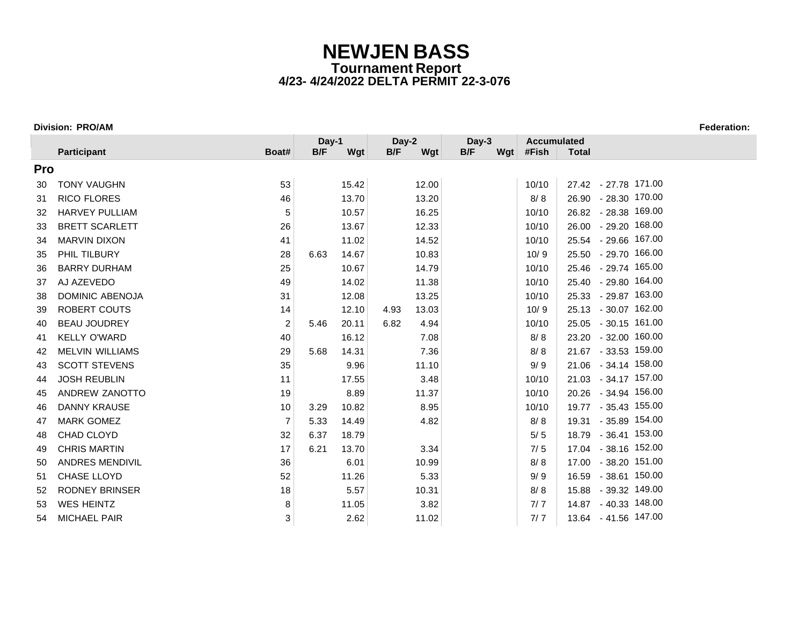### **Division: PRO/AM Federation:**

|            |                        |                | Day-1 |       | Day-2 |       | Day-3 |     | <b>Accumulated</b> |              |                      |
|------------|------------------------|----------------|-------|-------|-------|-------|-------|-----|--------------------|--------------|----------------------|
|            | Participant            | Boat#          | B/F   | Wgt   | B/F   | Wgt   | B/F   | Wgt | #Fish              | <b>Total</b> |                      |
| <b>Pro</b> |                        |                |       |       |       |       |       |     |                    |              |                      |
| 30         | <b>TONY VAUGHN</b>     | 53             |       | 15.42 |       | 12.00 |       |     | 10/10              |              | 27.42 - 27.78 171.00 |
| 31         | RICO FLORES            | 46             |       | 13.70 |       | 13.20 |       |     | 8/8                |              | 26.90 - 28.30 170.00 |
| 32         | <b>HARVEY PULLIAM</b>  | 5              |       | 10.57 |       | 16.25 |       |     | 10/10              |              | 26.82 - 28.38 169.00 |
| 33         | <b>BRETT SCARLETT</b>  | 26             |       | 13.67 |       | 12.33 |       |     | 10/10              |              | 26.00 - 29.20 168.00 |
| 34         | <b>MARVIN DIXON</b>    | 41             |       | 11.02 |       | 14.52 |       |     | 10/10              |              | 25.54 - 29.66 167.00 |
| 35         | PHIL TILBURY           | 28             | 6.63  | 14.67 |       | 10.83 |       |     | 10/9               |              | 25.50 - 29.70 166.00 |
| 36         | <b>BARRY DURHAM</b>    | 25             |       | 10.67 |       | 14.79 |       |     | 10/10              |              | 25.46 - 29.74 165.00 |
| 37         | AJ AZEVEDO             | 49             |       | 14.02 |       | 11.38 |       |     | 10/10              |              | 25.40 - 29.80 164.00 |
| 38         | <b>DOMINIC ABENOJA</b> | 31             |       | 12.08 |       | 13.25 |       |     | 10/10              |              | 25.33 - 29.87 163.00 |
| 39         | ROBERT COUTS           | 14             |       | 12.10 | 4.93  | 13.03 |       |     | 10/9               |              | 25.13 - 30.07 162.00 |
| 40         | <b>BEAU JOUDREY</b>    | 2              | 5.46  | 20.11 | 6.82  | 4.94  |       |     | 10/10              |              | 25.05 - 30.15 161.00 |
| 41         | <b>KELLY O'WARD</b>    | 40             |       | 16.12 |       | 7.08  |       |     | 8/8                |              | 23.20 - 32.00 160.00 |
| 42         | <b>MELVIN WILLIAMS</b> | 29             | 5.68  | 14.31 |       | 7.36  |       |     | 8/8                |              | 21.67 - 33.53 159.00 |
| 43         | <b>SCOTT STEVENS</b>   | 35             |       | 9.96  |       | 11.10 |       |     | 9/9                |              | 21.06 - 34.14 158.00 |
| 44         | <b>JOSH REUBLIN</b>    | 11             |       | 17.55 |       | 3.48  |       |     | 10/10              |              | 21.03 - 34.17 157.00 |
| 45         | ANDREW ZANOTTO         | 19             |       | 8.89  |       | 11.37 |       |     | 10/10              |              | 20.26 - 34.94 156.00 |
| 46         | <b>DANNY KRAUSE</b>    | 10             | 3.29  | 10.82 |       | 8.95  |       |     | 10/10              |              | 19.77 - 35.43 155.00 |
| 47         | <b>MARK GOMEZ</b>      | $\overline{7}$ | 5.33  | 14.49 |       | 4.82  |       |     | 8/8                |              | 19.31 - 35.89 154.00 |
| 48         | CHAD CLOYD             | 32             | 6.37  | 18.79 |       |       |       |     | 5/5                |              | 18.79 - 36.41 153.00 |
| 49         | <b>CHRIS MARTIN</b>    | 17             | 6.21  | 13.70 |       | 3.34  |       |     | 7/5                |              | 17.04 - 38.16 152.00 |
| 50         | <b>ANDRES MENDIVIL</b> | 36             |       | 6.01  |       | 10.99 |       |     | 8/8                |              | 17.00 - 38.20 151.00 |
| 51         | <b>CHASE LLOYD</b>     | 52             |       | 11.26 |       | 5.33  |       |     | 9/9                |              | 16.59 - 38.61 150.00 |
| 52         | <b>RODNEY BRINSER</b>  | 18             |       | 5.57  |       | 10.31 |       |     | 8/8                |              | 15.88 - 39.32 149.00 |
| 53         | <b>WES HEINTZ</b>      | 8              |       | 11.05 |       | 3.82  |       |     | 7/7                |              | 14.87 - 40.33 148.00 |
| 54         | MICHAEL PAIR           | 3              |       | 2.62  |       | 11.02 |       |     | 7/7                |              | 13.64 - 41.56 147.00 |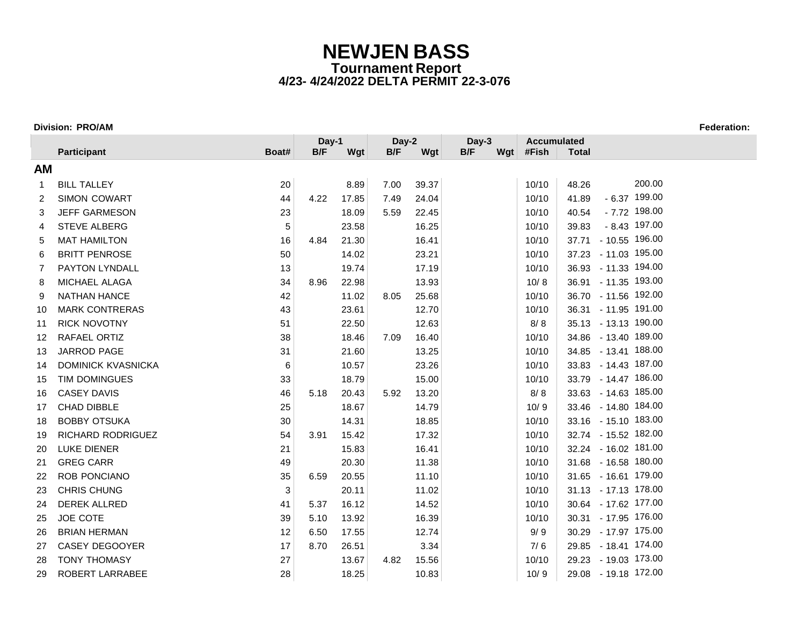### **Division: PRO/AM Federation:**

|                |                           |             | Day-1 |       | Day-2 |       | Day-3 | <b>Accumulated</b> |              |                      |
|----------------|---------------------------|-------------|-------|-------|-------|-------|-------|--------------------|--------------|----------------------|
|                | Participant               | Boat#       | B/F   | Wgt   | B/F   | Wgt   | B/F   | Wgt #Fish          | <b>Total</b> |                      |
| <b>AM</b>      |                           |             |       |       |       |       |       |                    |              |                      |
| 1              | <b>BILL TALLEY</b>        | 20          |       | 8.89  | 7.00  | 39.37 |       | 10/10              | 48.26        | 200.00               |
| $\overline{2}$ | <b>SIMON COWART</b>       | 44          | 4.22  | 17.85 | 7.49  | 24.04 |       | 10/10              | 41.89        | $-6.37$ 199.00       |
| 3              | <b>JEFF GARMESON</b>      | 23          |       | 18.09 | 5.59  | 22.45 |       | 10/10              | 40.54        | $-7.72$ 198.00       |
| 4              | <b>STEVE ALBERG</b>       | $\,$ 5 $\,$ |       | 23.58 |       | 16.25 |       | 10/10              | 39.83        | $-8.43$ 197.00       |
| 5              | <b>MAT HAMILTON</b>       | 16          | 4.84  | 21.30 |       | 16.41 |       | 10/10              |              | 37.71 - 10.55 196.00 |
| 6              | <b>BRITT PENROSE</b>      | 50          |       | 14.02 |       | 23.21 |       | 10/10              |              | 37.23 - 11.03 195.00 |
| 7              | <b>PAYTON LYNDALL</b>     | 13          |       | 19.74 |       | 17.19 |       | 10/10              |              | 36.93 - 11.33 194.00 |
| 8              | MICHAEL ALAGA             | 34          | 8.96  | 22.98 |       | 13.93 |       | 10/8               |              | 36.91 - 11.35 193.00 |
| 9              | <b>NATHAN HANCE</b>       | 42          |       | 11.02 | 8.05  | 25.68 |       | 10/10              |              | 36.70 - 11.56 192.00 |
| 10             | <b>MARK CONTRERAS</b>     | 43          |       | 23.61 |       | 12.70 |       | 10/10              |              | 36.31 - 11.95 191.00 |
| 11             | <b>RICK NOVOTNY</b>       | 51          |       | 22.50 |       | 12.63 |       | 8/8                |              | 35.13 - 13.13 190.00 |
| 12             | RAFAEL ORTIZ              | 38          |       | 18.46 | 7.09  | 16.40 |       | 10/10              |              | 34.86 - 13.40 189.00 |
| 13             | <b>JARROD PAGE</b>        | 31          |       | 21.60 |       | 13.25 |       | 10/10              |              | 34.85 - 13.41 188.00 |
| 14             | <b>DOMINICK KVASNICKA</b> | 6           |       | 10.57 |       | 23.26 |       | 10/10              |              | 33.83 - 14.43 187.00 |
| 15             | TIM DOMINGUES             | 33          |       | 18.79 |       | 15.00 |       | 10/10              |              | 33.79 - 14.47 186.00 |
| 16             | <b>CASEY DAVIS</b>        | 46          | 5.18  | 20.43 | 5.92  | 13.20 |       | 8/8                |              | 33.63 - 14.63 185.00 |
| 17             | <b>CHAD DIBBLE</b>        | 25          |       | 18.67 |       | 14.79 |       | 10/9               |              | 33.46 - 14.80 184.00 |
| 18             | <b>BOBBY OTSUKA</b>       | 30          |       | 14.31 |       | 18.85 |       | 10/10              |              | 33.16 - 15.10 183.00 |
| 19             | RICHARD RODRIGUEZ         | 54          | 3.91  | 15.42 |       | 17.32 |       | 10/10              |              | 32.74 - 15.52 182.00 |
| 20             | <b>LUKE DIENER</b>        | 21          |       | 15.83 |       | 16.41 |       | 10/10              |              | 32.24 - 16.02 181.00 |
| 21             | <b>GREG CARR</b>          | 49          |       | 20.30 |       | 11.38 |       | 10/10              |              | 31.68 - 16.58 180.00 |
| 22             | <b>ROB PONCIANO</b>       | 35          | 6.59  | 20.55 |       | 11.10 |       | 10/10              |              | 31.65 - 16.61 179.00 |
| 23             | CHRIS CHUNG               | 3           |       | 20.11 |       | 11.02 |       | 10/10              |              | 31.13 - 17.13 178.00 |
| 24             | <b>DEREK ALLRED</b>       | 41          | 5.37  | 16.12 |       | 14.52 |       | 10/10              |              | 30.64 - 17.62 177.00 |
| 25             | JOE COTE                  | 39          | 5.10  | 13.92 |       | 16.39 |       | 10/10              |              | 30.31 - 17.95 176.00 |
| 26             | <b>BRIAN HERMAN</b>       | 12          | 6.50  | 17.55 |       | 12.74 |       | 9/9                |              | 30.29 - 17.97 175.00 |
| 27             | CASEY DEGOOYER            | 17          | 8.70  | 26.51 |       | 3.34  |       | 7/6                |              | 29.85 - 18.41 174.00 |
| 28             | <b>TONY THOMASY</b>       | 27          |       | 13.67 | 4.82  | 15.56 |       | 10/10              |              | 29.23 - 19.03 173.00 |
| 29             | ROBERT LARRABEE           | 28          |       | 18.25 |       | 10.83 |       | 10/9               |              | 29.08 - 19.18 172.00 |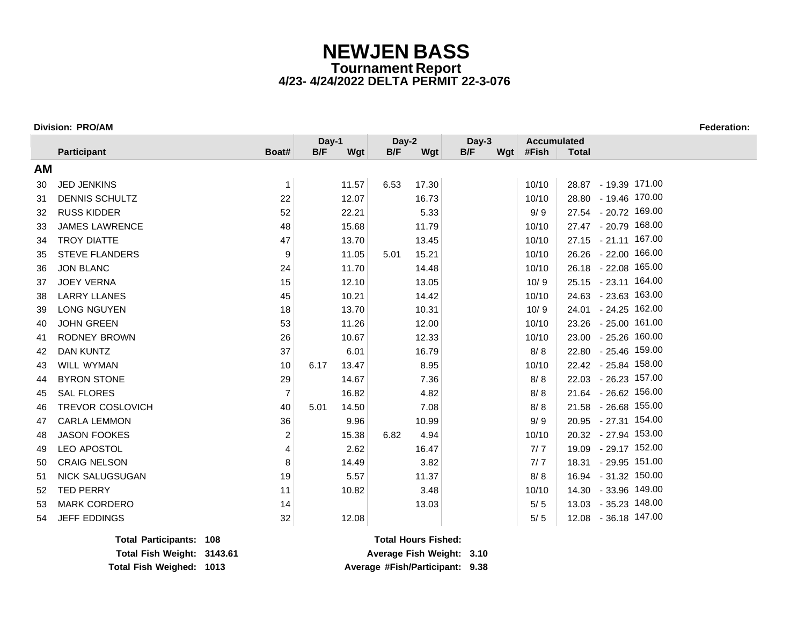### **Division: PRO/AM Federation:**

|           |                         |                | Day-1 |       | Day-2 |       | Day-3 |     | <b>Accumulated</b> |                      |
|-----------|-------------------------|----------------|-------|-------|-------|-------|-------|-----|--------------------|----------------------|
|           | Participant             | Boat#          | B/F   | Wgt   | B/F   | Wgt   | B/F   | Wgt | #Fish              | <b>Total</b>         |
| <b>AM</b> |                         |                |       |       |       |       |       |     |                    |                      |
| 30        | <b>JED JENKINS</b>      | $\mathbf{1}$   |       | 11.57 | 6.53  | 17.30 |       |     | 10/10              | 28.87 - 19.39 171.00 |
| 31        | <b>DENNIS SCHULTZ</b>   | 22             |       | 12.07 |       | 16.73 |       |     | 10/10              | 28.80 - 19.46 170.00 |
| 32        | <b>RUSS KIDDER</b>      | 52             |       | 22.21 |       | 5.33  |       |     | 9/9                | 27.54 - 20.72 169.00 |
| 33        | <b>JAMES LAWRENCE</b>   | 48             |       | 15.68 |       | 11.79 |       |     | 10/10              | 27.47 - 20.79 168.00 |
| 34        | <b>TROY DIATTE</b>      | 47             |       | 13.70 |       | 13.45 |       |     | 10/10              | 27.15 - 21.11 167.00 |
| 35        | <b>STEVE FLANDERS</b>   | 9              |       | 11.05 | 5.01  | 15.21 |       |     | 10/10              | 26.26 - 22.00 166.00 |
| 36        | <b>JON BLANC</b>        | 24             |       | 11.70 |       | 14.48 |       |     | 10/10              | 26.18 - 22.08 165.00 |
| 37        | <b>JOEY VERNA</b>       | 15             |       | 12.10 |       | 13.05 |       |     | 10/9               | 25.15 - 23.11 164.00 |
| 38        | <b>LARRY LLANES</b>     | 45             |       | 10.21 |       | 14.42 |       |     | 10/10              | 24.63 - 23.63 163.00 |
| 39        | LONG NGUYEN             | 18             |       | 13.70 |       | 10.31 |       |     | 10/9               | 24.01 - 24.25 162.00 |
| 40        | <b>JOHN GREEN</b>       | 53             |       | 11.26 |       | 12.00 |       |     | 10/10              | 23.26 - 25.00 161.00 |
| 41        | <b>RODNEY BROWN</b>     | 26             |       | 10.67 |       | 12.33 |       |     | 10/10              | 23.00 - 25.26 160.00 |
| 42        | <b>DAN KUNTZ</b>        | 37             |       | 6.01  |       | 16.79 |       |     | 8/8                | 22.80 - 25.46 159.00 |
| 43        | <b>WILL WYMAN</b>       | 10             | 6.17  | 13.47 |       | 8.95  |       |     | 10/10              | 22.42 - 25.84 158.00 |
| 44        | <b>BYRON STONE</b>      | 29             |       | 14.67 |       | 7.36  |       |     | 8/8                | 22.03 - 26.23 157.00 |
| 45        | <b>SAL FLORES</b>       | $\overline{7}$ |       | 16.82 |       | 4.82  |       |     | 8/8                | 21.64 - 26.62 156.00 |
| 46        | <b>TREVOR COSLOVICH</b> | 40             | 5.01  | 14.50 |       | 7.08  |       |     | 8/8                | 21.58 - 26.68 155.00 |
| 47        | <b>CARLA LEMMON</b>     | 36             |       | 9.96  |       | 10.99 |       |     | 9/9                | 20.95 - 27.31 154.00 |
| 48        | <b>JASON FOOKES</b>     | $\overline{c}$ |       | 15.38 | 6.82  | 4.94  |       |     | 10/10              | 20.32 - 27.94 153.00 |
| 49        | LEO APOSTOL             | 4              |       | 2.62  |       | 16.47 |       |     | 7/7                | 19.09 - 29.17 152.00 |
| 50        | <b>CRAIG NELSON</b>     | 8              |       | 14.49 |       | 3.82  |       |     | 7/7                | 18.31 - 29.95 151.00 |
| 51        | NICK SALUGSUGAN         | 19             |       | 5.57  |       | 11.37 |       |     | 8/8                | 16.94 - 31.32 150.00 |
| 52        | <b>TED PERRY</b>        | 11             |       | 10.82 |       | 3.48  |       |     | 10/10              | 14.30 - 33.96 149.00 |
| 53        | <b>MARK CORDERO</b>     | 14             |       |       |       | 13.03 |       |     | $5/5$              | 13.03 - 35.23 148.00 |
| 54        | <b>JEFF EDDINGS</b>     | 32             |       | 12.08 |       |       |       |     | 5/5                | 12.08 - 36.18 147.00 |

**Total Participants: 108 Total Hours Fished: Total Fish Weighed: 1013 Average #Fish/Participant: 9.38**

**Total Fish Weight: 3143.61 Average Fish Weight: 3.10**